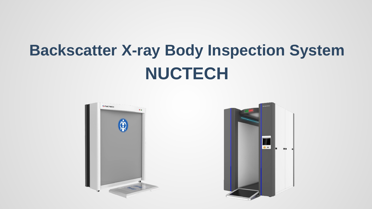# **Backscatter X-ray Body Inspection System NUCTECH**



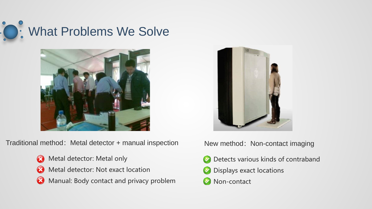



Traditional method: Metal detector + manual inspection Mew method: Non-contact imaging

- Metal detector: Metal only  $\bullet$
- Metal detector: Not exact location  $\infty$
- Manual: Body contact and privacy problem  $\bullet$



- Detects various kinds of contraband
- Displays exact locations **CONTRACTOR**
- Non-contact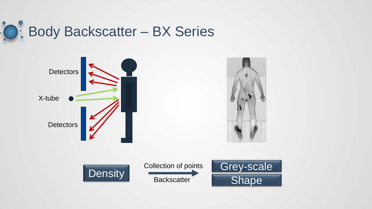

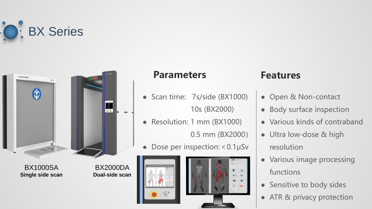



BX1000SA **Single side scan**

BX2000DA **Dual-side scan**

### **Parameters**

- Scan time: 7s/side (BX1000) 10s (BX2000)
- Resolution: 1 mm (BX1000) 0.5 mm (BX2000)
- Dose per inspection: < 0.1μSν



### **Features**

- Open & Non-contact
- Body surface inspection
- Various kinds of contraband
- Ultra low-dose & high resolution
- Various image processing functions
- Sensitive to body sides
- ATR & privacy protection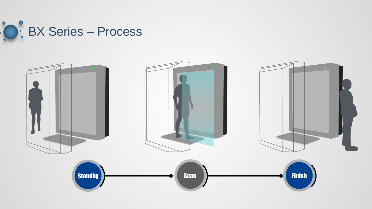

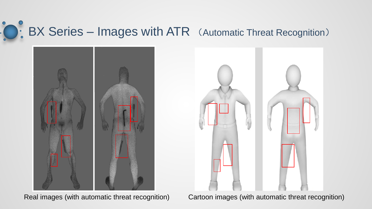# **BX Series – Images with ATR** (Automatic Threat Recognition)



Real images (with automatic threat recognition) Cartoon images (with automatic threat recognition)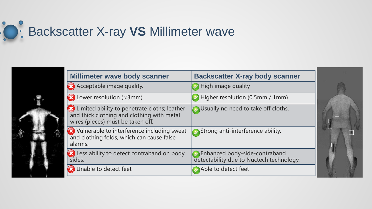



| <b>Millimeter wave body scanner</b>                                                                                               | <b>Backscatter X-ray body scanner</b>                                     |  |
|-----------------------------------------------------------------------------------------------------------------------------------|---------------------------------------------------------------------------|--|
| Acceptable image quality.                                                                                                         | $\rightarrow$ High image quality                                          |  |
| $\bullet$ Lower resolution ( $\approx$ 3mm)                                                                                       | $\blacktriangleright$ Higher resolution (0.5mm / 1mm)                     |  |
| X Limited ability to penetrate cloths; leather<br>and thick clothing and clothing with metal<br>wires (pieces) must be taken off. | Usually no need to take off cloths.                                       |  |
| <b>X</b> Vulnerable to interference including sweat<br>and clothing folds, which can cause false<br>alarms.                       | Strong anti-interference ability.                                         |  |
| (X) Less ability to detect contraband on body<br>sides.                                                                           | Enhanced body-side-contraband<br>detectability due to Nuctech technology. |  |
| Unable to detect feet                                                                                                             | Able to detect feet                                                       |  |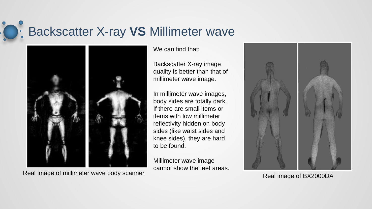# Backscatter X-ray **VS** Millimeter wave



Real image of millimeter wave body scanner<br>Real image of BX2000DA

We can find that:

Backscatter X-ray image quality is better than that of millimeter wave image.

In millimeter wave images, body sides are totally dark. If there are small items or items with low millimeter reflectivity hidden on body sides (like waist sides and knee sides), they are hard to be found.

Millimeter wave image cannot show the feet areas.

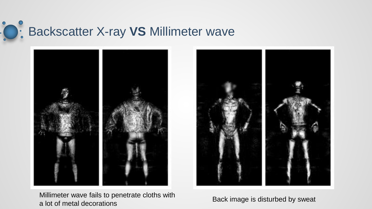### $\bullet$ **O: Backscatter X-ray VS Millimeter wave**



Millimeter wave fails to penetrate cloths with Following the wave rails to perfect at clotters with Back image is disturbed by sweat a lot of metal decorations

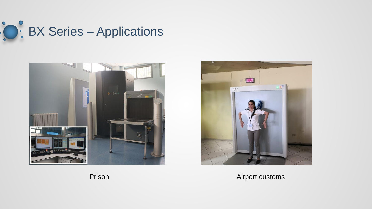





Airport customs

Prison